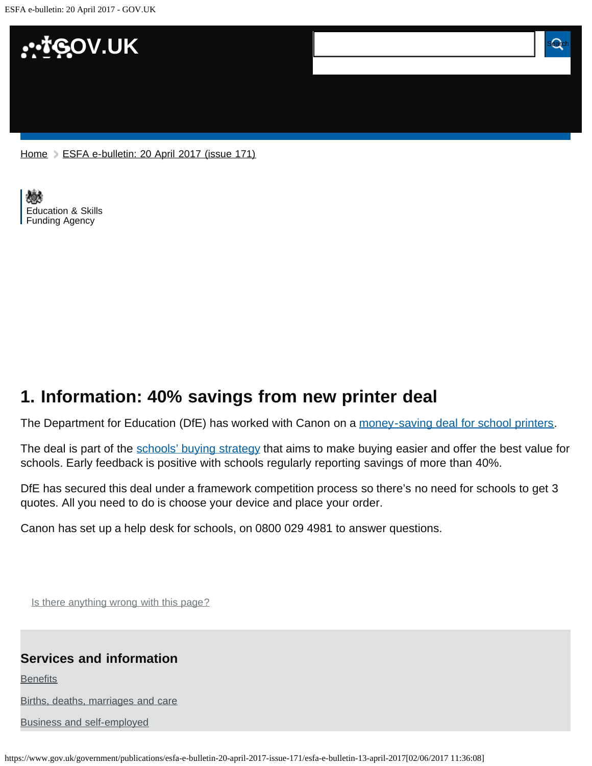ESFA e-bulletin: 20 April 2017 - GOV.UK



[Home](https://www.gov.uk/) > [ESFA e-bulletin: 20 April 2017 \(issue 171\)](https://www.gov.uk/government/publications/esfa-e-bulletin-20-april-2017-issue-171)

[Education & Skills](https://www.gov.uk/government/organisations/education-and-skills-funding-agency)  [Funding Agency](https://www.gov.uk/government/organisations/education-and-skills-funding-agency)

## <span id="page-0-0"></span>**1. Information: 40% savings from new printer deal**

The Department for Education (DfE) has worked with Canon on a [money-saving deal for school printers.](https://www.gov.uk/government/news/money-saving-deal-for-schools-printers)

The deal is part of the [schools' buying strategy](https://www.gov.uk/government/publications/schools-buying-strategy) that aims to make buying easier and offer the best value for schools. Early feedback is positive with schools regularly reporting savings of more than 40%.

DfE has secured this deal under a framework competition process so there's no need for schools to get 3 quotes. All you need to do is choose your device and place your order.

Canon has set up a help desk for schools, on 0800 029 4981 to answer questions.

Is there anything wrong with this page?

## **Services and information**

**[Benefits](https://www.gov.uk/browse/benefits)** 

[Births, deaths, marriages and care](https://www.gov.uk/browse/births-deaths-marriages)

[Business and self-employed](https://www.gov.uk/browse/business)

https://www.gov.uk/government/publications/esfa-e-bulletin-20-april-2017-issue-171/esfa-e-bulletin-13-april-2017[02/06/2017 11:36:08]